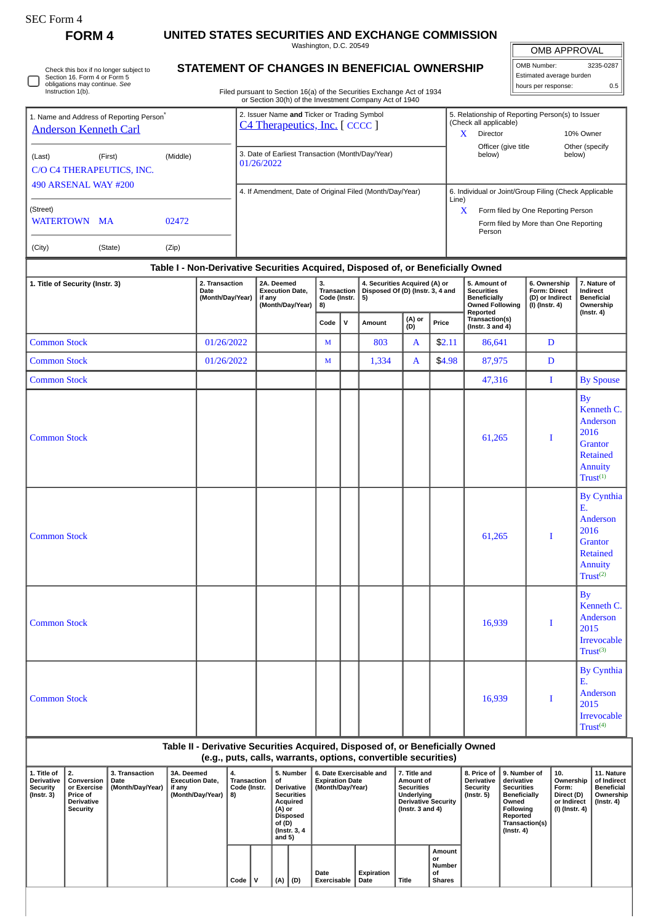П

Check this box if no longer subject to Section 16. Form 4 or Form 5 obligations may continue. *See* Instruction 1(b).

**FORM 4 UNITED STATES SECURITIES AND EXCHANGE COMMISSION**

Washington, D.C. 20549

OMB APPROVAL

| OMB Number:              | 3235-0287 |
|--------------------------|-----------|
| Estimated average burden |           |
| hours per response:      | 0.5       |

Filed pursuant to Section 16(a) of the Securities Exchange Act of 1934 or Section 30(h) of the Investment Company Act of 1940

**STATEMENT OF CHANGES IN BENEFICIAL OWNERSHIP**

| 1. Name and Address of Reporting Person <sup>*</sup><br><b>Anderson Kenneth Carl</b> |                                                                              |                                            |                                                |                                            |                                         | 2. Issuer Name and Ticker or Trading Symbol<br>C4 Therapeutics, Inc. [ CCCC ] |                                                                                                                                     |                                                |              |                                                                |                                                                                                                     |                                               |                                                                                                | 5. Relationship of Reporting Person(s) to Issuer<br>(Check all applicable)<br>Director<br>10% Owner<br>X.                                          |                                                                              |                                                                              |                                                                                                               |  |
|--------------------------------------------------------------------------------------|------------------------------------------------------------------------------|--------------------------------------------|------------------------------------------------|--------------------------------------------|-----------------------------------------|-------------------------------------------------------------------------------|-------------------------------------------------------------------------------------------------------------------------------------|------------------------------------------------|--------------|----------------------------------------------------------------|---------------------------------------------------------------------------------------------------------------------|-----------------------------------------------|------------------------------------------------------------------------------------------------|----------------------------------------------------------------------------------------------------------------------------------------------------|------------------------------------------------------------------------------|------------------------------------------------------------------------------|---------------------------------------------------------------------------------------------------------------|--|
| (Middle)<br>(Last)<br>(First)<br>C/O C4 THERAPEUTICS, INC.                           |                                                                              |                                            |                                                |                                            |                                         | 3. Date of Earliest Transaction (Month/Day/Year)<br>01/26/2022                |                                                                                                                                     |                                                |              |                                                                |                                                                                                                     |                                               |                                                                                                | Officer (give title<br>Other (specify<br>below)<br>below)                                                                                          |                                                                              |                                                                              |                                                                                                               |  |
| 490 ARSENAL WAY #200<br>(Street)<br>WATERTOWN MA<br>02472                            |                                                                              |                                            |                                                |                                            |                                         | 4. If Amendment, Date of Original Filed (Month/Day/Year)                      |                                                                                                                                     |                                                |              |                                                                |                                                                                                                     |                                               |                                                                                                | 6. Individual or Joint/Group Filing (Check Applicable<br>Line)<br>X<br>Form filed by One Reporting Person<br>Form filed by More than One Reporting |                                                                              |                                                                              |                                                                                                               |  |
|                                                                                      |                                                                              |                                            |                                                |                                            |                                         |                                                                               |                                                                                                                                     |                                                |              |                                                                |                                                                                                                     |                                               | Person                                                                                         |                                                                                                                                                    |                                                                              |                                                                              |                                                                                                               |  |
| (City)                                                                               |                                                                              | (State)                                    | (Zip)                                          |                                            |                                         |                                                                               |                                                                                                                                     |                                                |              |                                                                |                                                                                                                     |                                               | Table I - Non-Derivative Securities Acquired, Disposed of, or Beneficially Owned               |                                                                                                                                                    |                                                                              |                                                                              |                                                                                                               |  |
| 1. Title of Security (Instr. 3)                                                      |                                                                              |                                            |                                                | 2. Transaction<br>Date<br>(Month/Day/Year) |                                         | if any                                                                        | 2A. Deemed<br><b>Execution Date,</b><br>(Month/Day/Year)                                                                            | 3.<br><b>Transaction</b><br>Code (Instr.<br>8) |              | 5)                                                             | 4. Securities Acquired (A) or<br>Disposed Of (D) (Instr. 3, 4 and                                                   |                                               | 5. Amount of<br><b>Securities</b><br><b>Beneficially</b><br><b>Owned Following</b><br>Reported |                                                                                                                                                    | 6. Ownership<br>Form: Direct<br>(D) or Indirect<br>(I) (Instr. 4)            |                                                                              | 7. Nature of<br>Indirect<br><b>Beneficial</b><br>Ownership                                                    |  |
|                                                                                      |                                                                              |                                            |                                                |                                            |                                         |                                                                               |                                                                                                                                     | Code                                           | $\mathsf{v}$ | Amount                                                         | (A) or<br>(D)                                                                                                       | Price                                         | Transaction(s)<br>(Instr. $3$ and $4$ )                                                        |                                                                                                                                                    |                                                                              |                                                                              | $($ Instr. 4 $)$                                                                                              |  |
| <b>Common Stock</b>                                                                  |                                                                              |                                            |                                                | 01/26/2022                                 |                                         |                                                                               |                                                                                                                                     | M                                              |              | 803                                                            | A                                                                                                                   | \$2.11                                        | 86,641                                                                                         |                                                                                                                                                    | D                                                                            |                                                                              |                                                                                                               |  |
| <b>Common Stock</b>                                                                  |                                                                              |                                            |                                                | 01/26/2022                                 |                                         |                                                                               |                                                                                                                                     | M                                              |              | 1,334                                                          | A                                                                                                                   | \$4.98                                        | 87,975                                                                                         |                                                                                                                                                    | D                                                                            |                                                                              |                                                                                                               |  |
| <b>Common Stock</b>                                                                  |                                                                              |                                            |                                                |                                            |                                         |                                                                               |                                                                                                                                     |                                                |              |                                                                |                                                                                                                     |                                               | 47,316                                                                                         |                                                                                                                                                    |                                                                              | I                                                                            | <b>By Spouse</b>                                                                                              |  |
| <b>Common Stock</b>                                                                  |                                                                              |                                            |                                                |                                            |                                         |                                                                               |                                                                                                                                     |                                                |              |                                                                |                                                                                                                     |                                               | 61,265                                                                                         |                                                                                                                                                    | I                                                                            | <b>By</b>                                                                    | Kenneth C.<br>Anderson<br>2016<br><b>Grantor</b><br><b>Retained</b><br>Annuity<br>$\mathsf{Trust}^{(1)}$      |  |
| <b>Common Stock</b>                                                                  |                                                                              |                                            |                                                |                                            |                                         |                                                                               |                                                                                                                                     |                                                |              |                                                                |                                                                                                                     |                                               | 61,265                                                                                         |                                                                                                                                                    | I                                                                            | E.                                                                           | By Cynthia<br>Anderson<br>2016<br><b>Grantor</b><br><b>Retained</b><br><b>Annuity</b><br>Trust <sup>(2)</sup> |  |
| <b>Common Stock</b>                                                                  |                                                                              |                                            |                                                |                                            |                                         |                                                                               |                                                                                                                                     |                                                |              |                                                                |                                                                                                                     | 16,939                                        |                                                                                                | I                                                                                                                                                  | <b>By</b>                                                                    | Kenneth C.<br>Anderson<br>2015<br><b>Irrevocable</b><br>Trust <sup>(3)</sup> |                                                                                                               |  |
| <b>Common Stock</b>                                                                  |                                                                              |                                            |                                                |                                            |                                         |                                                                               |                                                                                                                                     |                                                |              |                                                                |                                                                                                                     | 16,939                                        |                                                                                                | Ε.<br>I                                                                                                                                            | <b>By Cynthia</b><br>Anderson<br>2015<br>Irrevocable<br>Trust <sup>(4)</sup> |                                                                              |                                                                                                               |  |
|                                                                                      |                                                                              |                                            |                                                |                                            |                                         |                                                                               |                                                                                                                                     |                                                |              | (e.g., puts, calls, warrants, options, convertible securities) |                                                                                                                     |                                               | Table II - Derivative Securities Acquired, Disposed of, or Beneficially Owned                  |                                                                                                                                                    |                                                                              |                                                                              |                                                                                                               |  |
| 1. Title of<br><b>Derivative</b><br><b>Security</b><br>$($ Instr. 3 $)$              | 2.<br>Conversion<br>or Exercise<br>Price of<br>Derivative<br><b>Security</b> | 3. Transaction<br>Date<br>(Month/Day/Year) | 3A. Deemed<br><b>Execution Date,</b><br>if any | (Month/Day/Year)                           | 4.<br>Transaction<br>Code (Instr.<br>8) |                                                                               | 5. Number<br>Οf<br>Derivative<br><b>Securities</b><br>Acquired<br>$(A)$ or<br><b>Disposed</b><br>of (D)<br>(Instr. 3, 4<br>and $5)$ | <b>Expiration Date</b><br>(Month/Day/Year)     |              | 6. Date Exercisable and                                        | 7. Title and<br>Amount of<br><b>Securities</b><br>Underlying<br><b>Derivative Security</b><br>(Instr. $3$ and $4$ ) |                                               | 8. Price of<br>Derivative<br><b>Security</b><br>$($ lnstr. 5 $)$                               | 9. Number of<br>derivative<br><b>Securities</b><br><b>Beneficially</b><br>Owned<br>Following<br>Reported<br>$($ Instr. 4 $)$                       | Transaction(s)                                                               | 10.<br>Ownership<br>Form:<br>Direct (D)<br>or Indirect<br>(I) (Instr. 4)     | 11. Nature<br>of Indirect<br><b>Beneficial</b><br>Ownership<br>$($ Instr. 4 $)$                               |  |
|                                                                                      |                                                                              |                                            |                                                |                                            | Code                                    | v                                                                             | (D)<br>(A)                                                                                                                          | Date<br>Exercisable                            |              | Expiration<br>Date                                             | Title                                                                                                               | Amount<br>or<br>Number<br>οf<br><b>Shares</b> |                                                                                                |                                                                                                                                                    |                                                                              |                                                                              |                                                                                                               |  |

 $\Big|\ \text{Code} \ \Big|\ \text{V} \ \Big|\ \text{(A)} \ \Big|\ \text{(D)}$